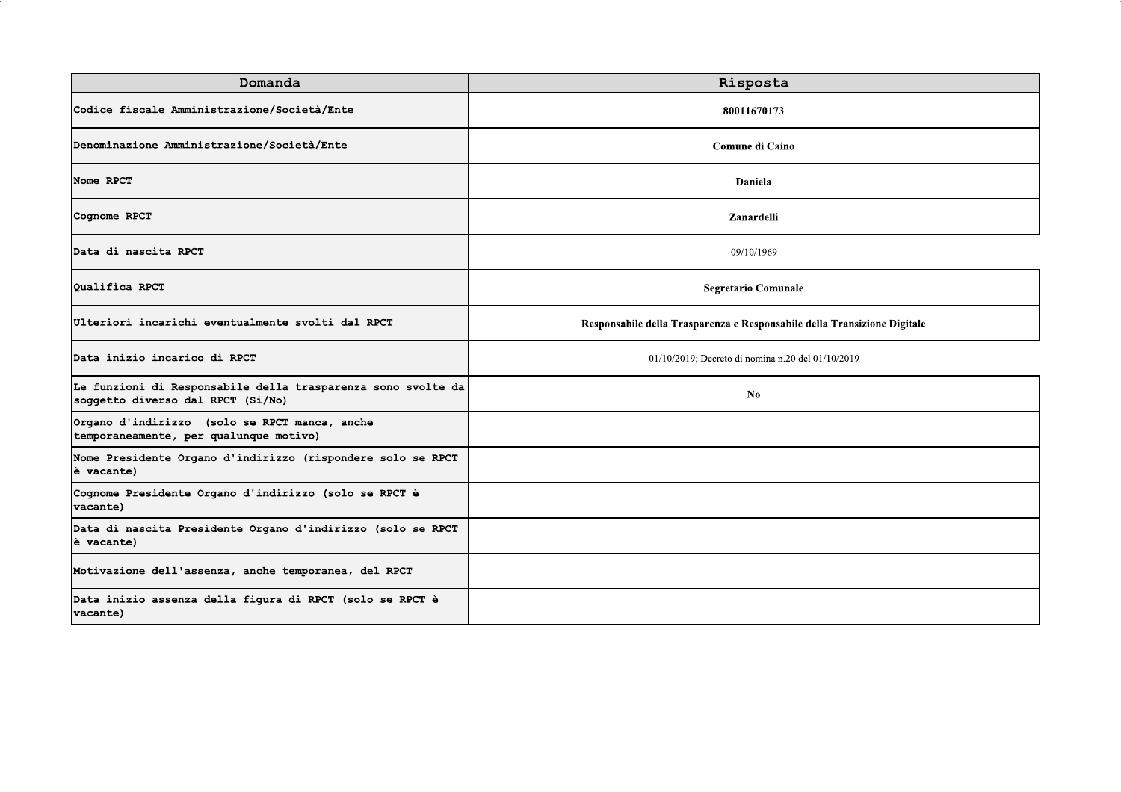| Domanda                                                                                           | Risposta                                                                 |
|---------------------------------------------------------------------------------------------------|--------------------------------------------------------------------------|
| Codice fiscale Amministrazione/Società/Ente                                                       | 80011670173                                                              |
| Denominazione Amministrazione/Società/Ente                                                        | Comune di Caino                                                          |
| Nome RPCT                                                                                         | Daniela                                                                  |
| Cognome RPCT                                                                                      | Zanardelli                                                               |
| Data di nascita RPCT                                                                              | 09/10/1969                                                               |
| Oualifica RPCT                                                                                    | <b>Segretario Comunale</b>                                               |
| Ulteriori incarichi eventualmente svolti dal RPCT                                                 | Responsabile della Trasparenza e Responsabile della Transizione Digitale |
| Data inizio incarico di RPCT                                                                      | 01/10/2019; Decreto di nomina n.20 del 01/10/2019                        |
| Le funzioni di Responsabile della trasparenza sono svolte da<br>soggetto diverso dal RPCT (Si/No) | N <sub>0</sub>                                                           |
| Organo d'indirizzo (solo se RPCT manca, anche<br>temporaneamente, per qualunque motivo)           |                                                                          |
| Nome Presidente Organo d'indirizzo (rispondere solo se RPCT<br>è vacante)                         |                                                                          |
| Cognome Presidente Organo d'indirizzo (solo se RPCT è<br>vacante)                                 |                                                                          |
| Data di nascita Presidente Organo d'indirizzo (solo se RPCT<br>è vacante)                         |                                                                          |
| Motivazione dell'assenza, anche temporanea, del RPCT                                              |                                                                          |
| Data inizio assenza della figura di RPCT (solo se RPCT è<br>vacante)                              |                                                                          |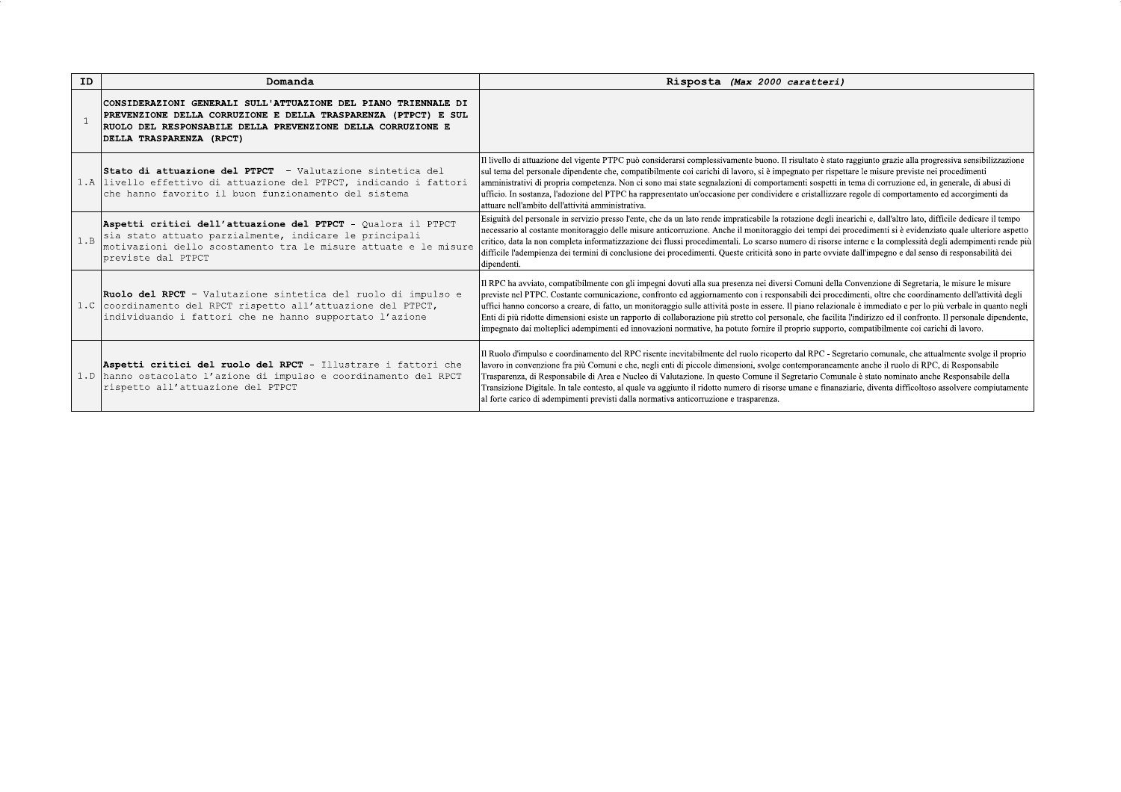| ID  | Domanda                                                                                                                                                                                                                     | Risposta (Max 2000 caratteri)                                                                                                                                                                                                                                                                                                                                                                                                                                                                                                                                                                                                                                                                                                                                                                         |
|-----|-----------------------------------------------------------------------------------------------------------------------------------------------------------------------------------------------------------------------------|-------------------------------------------------------------------------------------------------------------------------------------------------------------------------------------------------------------------------------------------------------------------------------------------------------------------------------------------------------------------------------------------------------------------------------------------------------------------------------------------------------------------------------------------------------------------------------------------------------------------------------------------------------------------------------------------------------------------------------------------------------------------------------------------------------|
|     | CONSIDERAZIONI GENERALI SULL'ATTUAZIONE DEL PIANO TRIENNALE DI<br>PREVENZIONE DELLA CORRUZIONE E DELLA TRASPARENZA (PTPCT) E SUL<br>RUOLO DEL RESPONSABILE DELLA PREVENZIONE DELLA CORRUZIONE E<br>DELLA TRASPARENZA (RPCT) |                                                                                                                                                                                                                                                                                                                                                                                                                                                                                                                                                                                                                                                                                                                                                                                                       |
|     | <b>IStato di attuazione del PTPCT</b> - Valutazione sintetica del<br>livello effettivo di attuazione del PTPCT, indicando i fattori<br>che hanno favorito il buon funzionamento del sistema                                 | Il livello di attuazione del vigente PTPC può considerarsi complessivamente buono. Il risultato è stato raggiunto grazie alla progressiva sensibilizzazione<br>sul tema del personale dipendente che, compatibilmente coi carichi di lavoro, si è impegnato per rispettare le misure previste nei procedimenti<br>amministrativi di propria competenza. Non ci sono mai state segnalazioni di comportamenti sospetti in tema di corruzione ed, in generale, di abusi di<br>ufficio. In sostanza, l'adozione del PTPC ha rappresentato un'occasione per condividere e cristallizzare regole di comportamento ed accorgimenti da<br>attuare nell'ambito dell'attività amministrativa.                                                                                                                   |
| 1.B | Aspetti critici dell'attuazione del PTPCT - Qualora il PTPCT<br>sia stato attuato parzialmente, indicare le principali<br>motivazioni dello scostamento tra le misure attuate e le misure<br>previste dal PTPCT             | Esiguità del personale in servizio presso l'ente, che da un lato rende impraticabile la rotazione degli incarichi e, dall'altro lato, difficile dedicare il tempo<br>necessario al costante monitoraggio delle misure anticorruzione. Anche il monitoraggio dei tempi dei procedimenti si è evidenziato quale ulteriore aspetto<br>critico, data la non completa informatizzazione dei flussi procedimentali. Lo scarso numero di risorse interne e la complessità degli adempimenti rende più<br>difficile l'adempienza dei termini di conclusione dei procedimenti. Queste criticità sono in parte ovviate dall'impegno e dal senso di responsabilità dei<br>dipendenti.                                                                                                                            |
|     | Ruolo del RPCT - Valutazione sintetica del ruolo di impulso e<br>1.C coordinamento del RPCT rispetto all'attuazione del PTPCT,<br>individuando i fattori che ne hanno supportato l'azione                                   | Il RPC ha avviato, compatibilmente con gli impegni dovuti alla sua presenza nei diversi Comuni della Convenzione di Segretaria, le misure le misure<br>previste nel PTPC. Costante comunicazione, confronto ed aggiornamento con i responsabili dei procedimenti, oltre che coordinamento dell'attività degli<br>uffici hanno concorso a creare, di fatto, un monitoraggio sulle attività poste in essere. Il piano relazionale è immediato e per lo più verbale in quanto negli<br>Enti di più ridotte dimensioni esiste un rapporto di collaborazione più stretto col personale, che facilita l'indirizzo ed il confronto. Il personale dipendente,<br>impegnato dai molteplici adempimenti ed innovazioni normative, ha potuto fornire il proprio supporto, compatibilmente coi carichi di lavoro. |
|     | Aspetti critici del ruolo del RPCT - Illustrare i fattori che<br>1.D hanno ostacolato l'azione di impulso e coordinamento del RPCT<br>rispetto all'attuazione del PTPCT                                                     | Il Ruolo d'impulso e coordinamento del RPC risente inevitabilmente del ruolo ricoperto dal RPC - Segretario comunale, che attualmente svolge il proprio<br>lavoro in convenzione fra più Comuni e che, negli enti di piccole dimensioni, svolge contemporaneamente anche il ruolo di RPC, di Responsabile<br>Trasparenza, di Responsabile di Area e Nucleo di Valutazione. In questo Comune il Segretario Comunale è stato nominato anche Responsabile della<br>Transizione Digitale. In tale contesto, al quale va aggiunto il ridotto numero di risorse umane e finanaziarie, diventa difficoltoso assolvere compiutamente<br>al forte carico di adempimenti previsti dalla normativa anticorruzione e trasparenza.                                                                                 |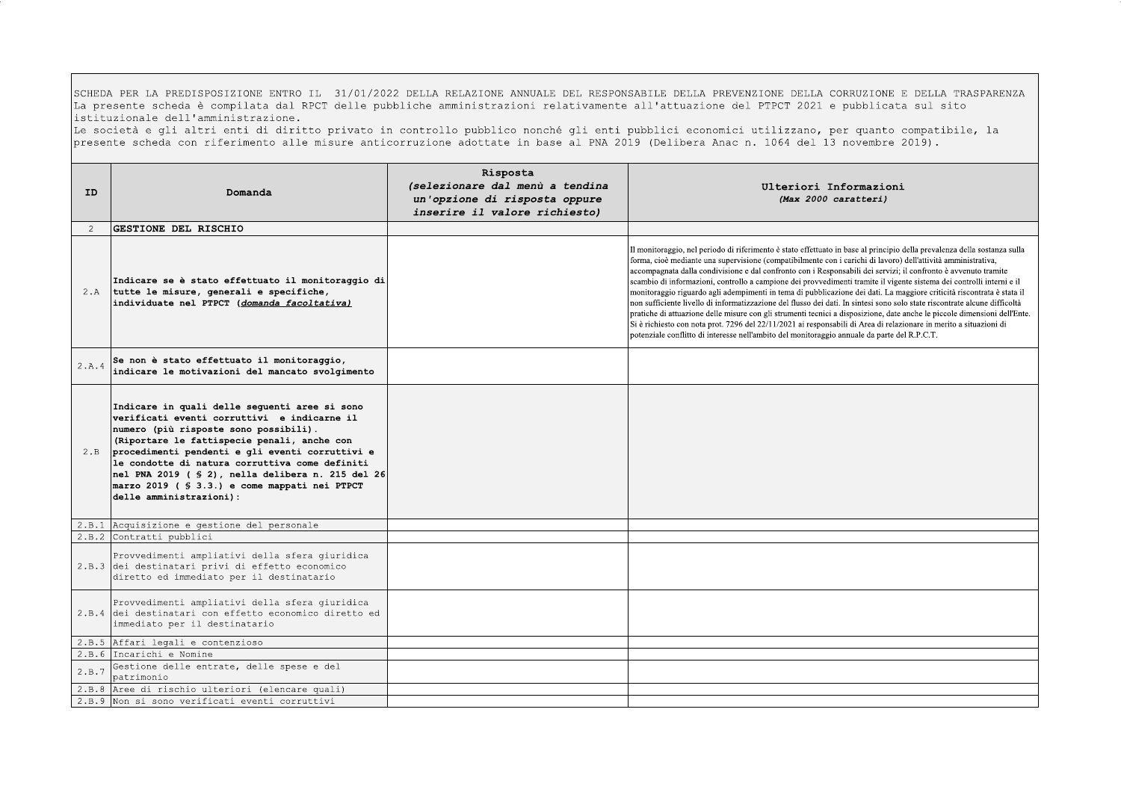SCHEDA PER LA PREDISPOSIZIONE ENTRO IL 31/01/2022 DELLA RELAZIONE ANNUALE DEL RESPONSABILE DELLA PREVENZIONE DELLA CORRUZIONE E DELLA TRASPARENZA La presente scheda è compilata dal RPCT delle pubbliche amministrazioni relativamente all'attuazione del PTPCT 2021 e pubblicata sul sito istituzionale dell'amministrazione.

Le società e gli altri enti di diritto privato in controllo pubblico nonché gli enti pubblici economici utilizzano, per quanto compatibile, la presente scheda con riferimento alle misure anticorruzione adottate in base al PNA 2019 (Delibera Anac n. 1064 del 13 novembre 2019).

| ID    | Domanda                                                                                                                                                                                                                                                                                                                                                                                                                       | Risposta<br>(selezionare dal menù a tendina<br>un'opzione di risposta oppure<br>inserire il valore richiesto) | Ulteriori Informazioni<br>(Max 2000 caratteri)                                                                                                                                                                                                                                                                                                                                                                                                                                                                                                                                                                                                                                                                                                                                                                                                                                                                                                                                                                                                                                                    |
|-------|-------------------------------------------------------------------------------------------------------------------------------------------------------------------------------------------------------------------------------------------------------------------------------------------------------------------------------------------------------------------------------------------------------------------------------|---------------------------------------------------------------------------------------------------------------|---------------------------------------------------------------------------------------------------------------------------------------------------------------------------------------------------------------------------------------------------------------------------------------------------------------------------------------------------------------------------------------------------------------------------------------------------------------------------------------------------------------------------------------------------------------------------------------------------------------------------------------------------------------------------------------------------------------------------------------------------------------------------------------------------------------------------------------------------------------------------------------------------------------------------------------------------------------------------------------------------------------------------------------------------------------------------------------------------|
| 2     | GESTIONE DEL RISCHIO                                                                                                                                                                                                                                                                                                                                                                                                          |                                                                                                               |                                                                                                                                                                                                                                                                                                                                                                                                                                                                                                                                                                                                                                                                                                                                                                                                                                                                                                                                                                                                                                                                                                   |
|       | Indicare se è stato effettuato il monitoraggio di<br>2.A tutte le misure, generali e specifiche,<br>individuate nel PTPCT (domanda facoltativa)                                                                                                                                                                                                                                                                               |                                                                                                               | Il monitoraggio, nel periodo di riferimento è stato effettuato in base al principio della prevalenza della sostanza sulla<br>forma, cioè mediante una supervisione (compatibilmente con i carichi di lavoro) dell'attività amministrativa,<br>accompagnata dalla condivisione e dal confronto con i Responsabili dei servizi; il confronto è avvenuto tramite<br>scambio di informazioni, controllo a campione dei provvedimenti tramite il vigente sistema dei controlli interni e il<br>monitoraggio riguardo agli adempimenti in tema di pubblicazione dei dati. La maggiore criticità riscontrata è stata il<br>non sufficiente livello di informatizzazione del flusso dei dati. In sintesi sono solo state riscontrate alcune difficoltà<br>pratiche di attuazione delle misure con gli strumenti tecnici a disposizione, date anche le piccole dimensioni dell'Ente.<br>Si è richiesto con nota prot. 7296 del 22/11/2021 ai responsabili di Area di relazionare in merito a situazioni di<br>potenziale conflitto di interesse nell'ambito del monitoraggio annuale da parte del R.P.C.T. |
| 2.A.4 | Se non è stato effettuato il monitoraggio,<br>indicare le motivazioni del mancato svolgimento                                                                                                                                                                                                                                                                                                                                 |                                                                                                               |                                                                                                                                                                                                                                                                                                                                                                                                                                                                                                                                                                                                                                                                                                                                                                                                                                                                                                                                                                                                                                                                                                   |
| 2.B   | Indicare in quali delle sequenti aree si sono<br>verificati eventi corruttivi e indicarne il<br>numero (più risposte sono possibili).<br>(Riportare le fattispecie penali, anche con<br>procedimenti pendenti e gli eventi corruttivi e<br>le condotte di natura corruttiva come definiti<br>nel PNA 2019 ( $\S$ 2), nella delibera n. 215 del 26<br>marzo 2019 ( § 3.3.) e come mappati nei PTPCT<br>delle amministrazioni): |                                                                                                               |                                                                                                                                                                                                                                                                                                                                                                                                                                                                                                                                                                                                                                                                                                                                                                                                                                                                                                                                                                                                                                                                                                   |
|       | 2.B.1 Acquisizione e gestione del personale                                                                                                                                                                                                                                                                                                                                                                                   |                                                                                                               |                                                                                                                                                                                                                                                                                                                                                                                                                                                                                                                                                                                                                                                                                                                                                                                                                                                                                                                                                                                                                                                                                                   |
|       | 2.B.2 Contratti pubblici                                                                                                                                                                                                                                                                                                                                                                                                      |                                                                                                               |                                                                                                                                                                                                                                                                                                                                                                                                                                                                                                                                                                                                                                                                                                                                                                                                                                                                                                                                                                                                                                                                                                   |
|       | Provvedimenti ampliativi della sfera giuridica<br>2.B.3 dei destinatari privi di effetto economico<br>diretto ed immediato per il destinatario                                                                                                                                                                                                                                                                                |                                                                                                               |                                                                                                                                                                                                                                                                                                                                                                                                                                                                                                                                                                                                                                                                                                                                                                                                                                                                                                                                                                                                                                                                                                   |
|       | Provvedimenti ampliativi della sfera giuridica<br>2.B.4 dei destinatari con effetto economico diretto ed<br>immediato per il destinatario                                                                                                                                                                                                                                                                                     |                                                                                                               |                                                                                                                                                                                                                                                                                                                                                                                                                                                                                                                                                                                                                                                                                                                                                                                                                                                                                                                                                                                                                                                                                                   |
|       | 2.B.5 Affari legali e contenzioso                                                                                                                                                                                                                                                                                                                                                                                             |                                                                                                               |                                                                                                                                                                                                                                                                                                                                                                                                                                                                                                                                                                                                                                                                                                                                                                                                                                                                                                                                                                                                                                                                                                   |
| 2.B.6 | Incarichi e Nomine                                                                                                                                                                                                                                                                                                                                                                                                            |                                                                                                               |                                                                                                                                                                                                                                                                                                                                                                                                                                                                                                                                                                                                                                                                                                                                                                                                                                                                                                                                                                                                                                                                                                   |
| 2.B.7 | Gestione delle entrate, delle spese e del<br>patrimonio                                                                                                                                                                                                                                                                                                                                                                       |                                                                                                               |                                                                                                                                                                                                                                                                                                                                                                                                                                                                                                                                                                                                                                                                                                                                                                                                                                                                                                                                                                                                                                                                                                   |
|       | 2.B.8 Aree di rischio ulteriori (elencare quali)                                                                                                                                                                                                                                                                                                                                                                              |                                                                                                               |                                                                                                                                                                                                                                                                                                                                                                                                                                                                                                                                                                                                                                                                                                                                                                                                                                                                                                                                                                                                                                                                                                   |
|       | 2.B.9 Non si sono verificati eventi corruttivi                                                                                                                                                                                                                                                                                                                                                                                |                                                                                                               |                                                                                                                                                                                                                                                                                                                                                                                                                                                                                                                                                                                                                                                                                                                                                                                                                                                                                                                                                                                                                                                                                                   |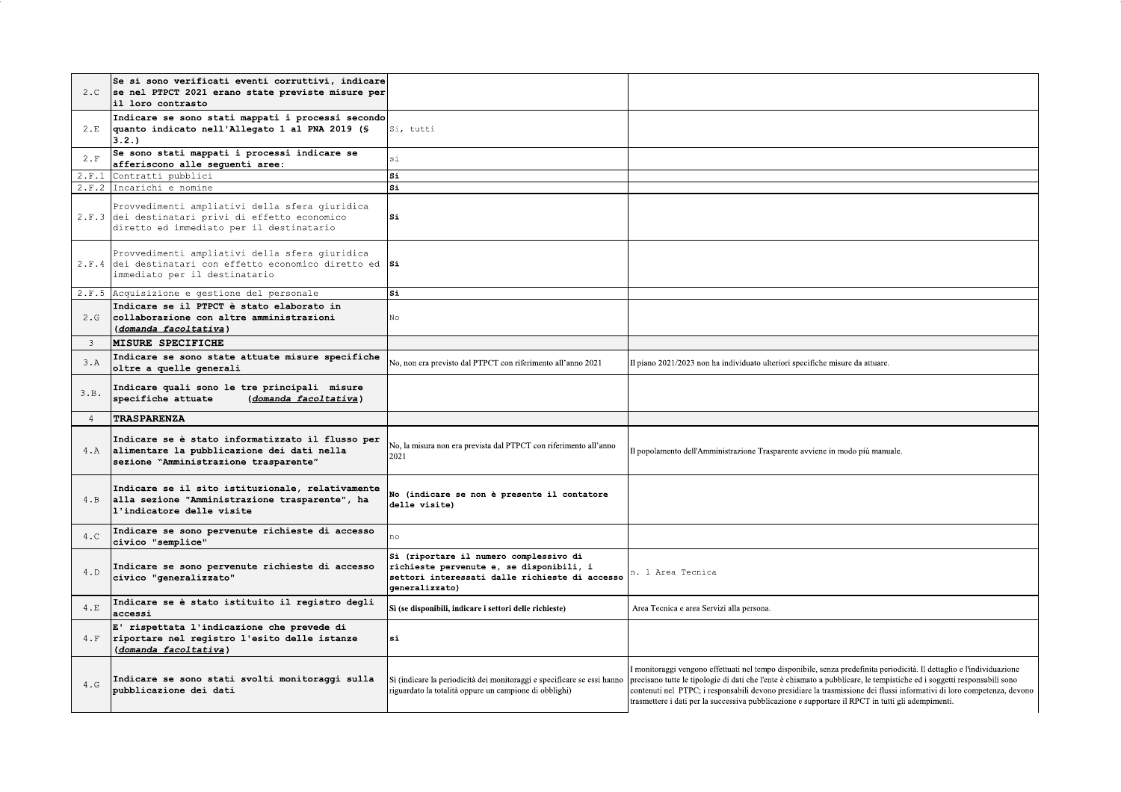| 2.C            | Se si sono verificati eventi corruttivi, indicare<br>se nel PTPCT 2021 erano state previste misure per<br>il loro contrasto                    |                                                                                                                                                        |                                                                                                                                                                                                                                                                                                                                                                                                                                                                                |
|----------------|------------------------------------------------------------------------------------------------------------------------------------------------|--------------------------------------------------------------------------------------------------------------------------------------------------------|--------------------------------------------------------------------------------------------------------------------------------------------------------------------------------------------------------------------------------------------------------------------------------------------------------------------------------------------------------------------------------------------------------------------------------------------------------------------------------|
| 2.E            | Indicare se sono stati mappati i processi secondo<br>quanto indicato nell'Allegato 1 al PNA 2019 (\$<br>3.2.                                   | Si, tutti                                                                                                                                              |                                                                                                                                                                                                                                                                                                                                                                                                                                                                                |
| $2 \cdot F$    | Se sono stati mappati i processi indicare se<br>afferiscono alle seguenti aree:                                                                | si                                                                                                                                                     |                                                                                                                                                                                                                                                                                                                                                                                                                                                                                |
| 2.F.1          | Contratti pubblici                                                                                                                             | $S_{\perp}$                                                                                                                                            |                                                                                                                                                                                                                                                                                                                                                                                                                                                                                |
| 2.F.2          | Incarichi e nomine                                                                                                                             | $s_{1}$                                                                                                                                                |                                                                                                                                                                                                                                                                                                                                                                                                                                                                                |
|                | Provvedimenti ampliativi della sfera giuridica<br>2.F.3 dei destinatari privi di effetto economico<br>diretto ed immediato per il destinatario | $S_{1}$                                                                                                                                                |                                                                                                                                                                                                                                                                                                                                                                                                                                                                                |
|                | Provvedimenti ampliativi della sfera giuridica<br>2.F.4 dei destinatari con effetto economico diretto ed Si<br>immediato per il destinatario   |                                                                                                                                                        |                                                                                                                                                                                                                                                                                                                                                                                                                                                                                |
|                | 2.F.5 Acquisizione e gestione del personale                                                                                                    | Si                                                                                                                                                     |                                                                                                                                                                                                                                                                                                                                                                                                                                                                                |
| 2.G            | Indicare se il PTPCT è stato elaborato in<br>collaborazione con altre amministrazioni<br>(domanda facoltativa)                                 | No.                                                                                                                                                    |                                                                                                                                                                                                                                                                                                                                                                                                                                                                                |
| $\mathbf{3}$   | <b>MISURE SPECIFICHE</b>                                                                                                                       |                                                                                                                                                        |                                                                                                                                                                                                                                                                                                                                                                                                                                                                                |
| 3.A            | Indicare se sono state attuate misure specifiche<br>oltre a quelle generali                                                                    | No, non era previsto dal PTPCT con riferimento all'anno 2021                                                                                           | Il piano 2021/2023 non ha individuato ulteriori specifiche misure da attuare.                                                                                                                                                                                                                                                                                                                                                                                                  |
| 3.B.           | Indicare quali sono le tre principali misure<br>specifiche attuate<br>(domanda facoltativa)                                                    |                                                                                                                                                        |                                                                                                                                                                                                                                                                                                                                                                                                                                                                                |
| $\overline{4}$ | <b>TRASPARENZA</b>                                                                                                                             |                                                                                                                                                        |                                                                                                                                                                                                                                                                                                                                                                                                                                                                                |
| 4.A            | Indicare se è stato informatizzato il flusso per<br>alimentare la pubblicazione dei dati nella<br>sezione "Amministrazione trasparente"        | No, la misura non era prevista dal PTPCT con riferimento all'anno<br>2021                                                                              | Il popolamento dell'Amministrazione Trasparente avviene in modo più manuale.                                                                                                                                                                                                                                                                                                                                                                                                   |
| 4.B            | Indicare se il sito istituzionale, relativamente<br>alla sezione "Amministrazione trasparente", ha<br>l'indicatore delle visite                | No (indicare se non è presente il contatore<br>delle visite)                                                                                           |                                                                                                                                                                                                                                                                                                                                                                                                                                                                                |
| 4.C            | Indicare se sono pervenute richieste di accesso<br>civico "semplice"                                                                           | no.                                                                                                                                                    |                                                                                                                                                                                                                                                                                                                                                                                                                                                                                |
| 4.D            | Indicare se sono pervenute richieste di accesso<br>civico "generalizzato"                                                                      | Sì (riportare il numero complessivo di<br>richieste pervenute e, se disponibili, i<br>settori interessati dalle richieste di accesso<br>generalizzato) | n. 1 Area Tecnica                                                                                                                                                                                                                                                                                                                                                                                                                                                              |
| 4.E            | Indicare se è stato istituito il registro degli<br>accessi                                                                                     | Sì (se disponibili, indicare i settori delle richieste)                                                                                                | Area Tecnica e area Servizi alla persona.                                                                                                                                                                                                                                                                                                                                                                                                                                      |
| 4.F            | E' rispettata l'indicazione che prevede di<br>riportare nel registro l'esito delle istanze<br>(domanda facoltativa)                            | $s_{1}$                                                                                                                                                |                                                                                                                                                                                                                                                                                                                                                                                                                                                                                |
| 4. G           | Indicare se sono stati svolti monitoraggi sulla<br>pubblicazione dei dati                                                                      | Sì (indicare la periodicità dei monitoraggi e specificare se essi hanno<br>riguardato la totalità oppure un campione di obblighi)                      | monitoraggi vengono effettuati nel tempo disponibile, senza predefinita periodicità. Il dettaglio e l'individuazione<br>precisano tutte le tipologie di dati che l'ente è chiamato a pubblicare, le tempistiche ed i soggetti responsabili sono<br>contenuti nel PTPC; i responsabili devono presidiare la trasmissione dei flussi informativi di loro competenza, devono<br>trasmettere i dati per la successiva pubblicazione e supportare il RPCT in tutti gli adempimenti. |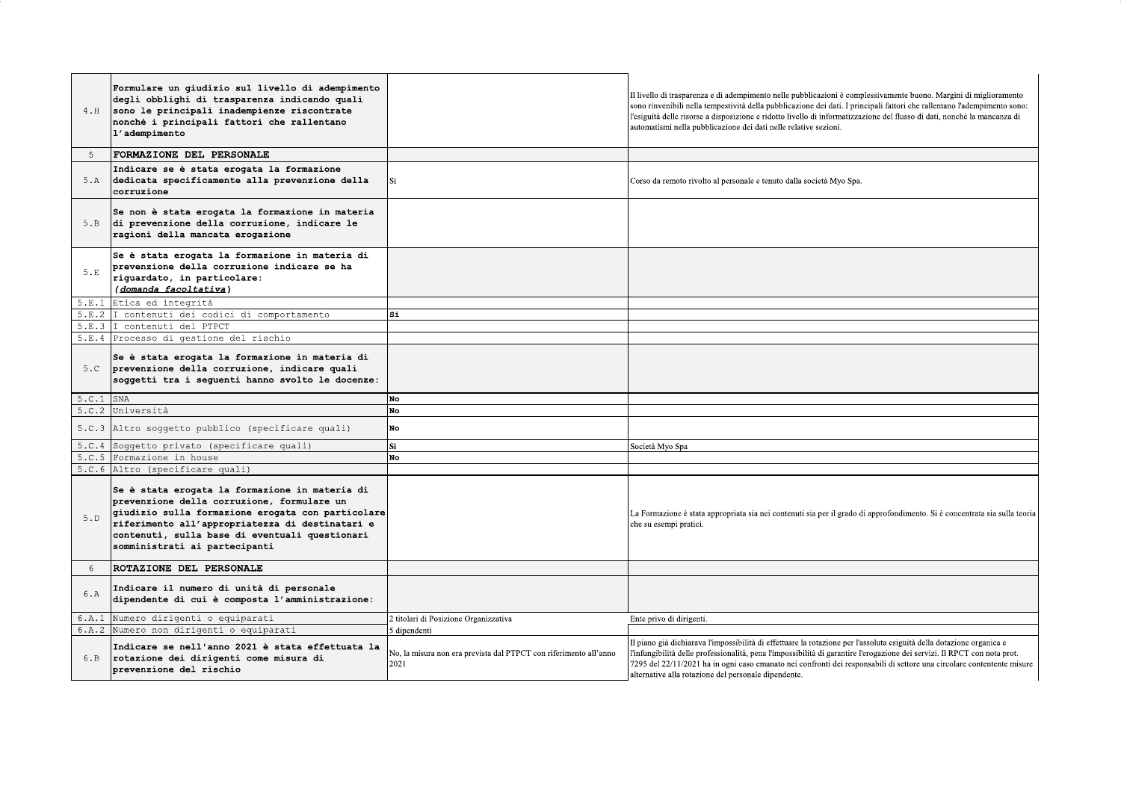| 4.H            | Formulare un giudizio sul livello di adempimento<br>degli obblighi di trasparenza indicando quali<br>sono le principali inadempienze riscontrate<br>nonché i principali fattori che rallentano<br>l'adempimento                                                                         |                                                                           | Il livello di trasparenza e di adempimento nelle pubblicazioni è complessivamente buono. Margini di miglioramento<br>sono rinvenibili nella tempestività della pubblicazione dei dati. I principali fattori che rallentano l'adempimento sono:<br>l'esiguità delle risorse a disposizione e ridotto livello di informatizzazione del flusso di dati, nonchè la mancanza di<br>automatismi nella pubblicazione dei dati nelle relative sezioni. |
|----------------|-----------------------------------------------------------------------------------------------------------------------------------------------------------------------------------------------------------------------------------------------------------------------------------------|---------------------------------------------------------------------------|------------------------------------------------------------------------------------------------------------------------------------------------------------------------------------------------------------------------------------------------------------------------------------------------------------------------------------------------------------------------------------------------------------------------------------------------|
| -5             | FORMAZIONE DEL PERSONALE                                                                                                                                                                                                                                                                |                                                                           |                                                                                                                                                                                                                                                                                                                                                                                                                                                |
| 5.A            | Indicare se è stata erogata la formazione<br>dedicata specificamente alla prevenzione della<br>corruzione                                                                                                                                                                               |                                                                           | Corso da remoto rivolto al personale e tenuto dalla società Myo Spa.                                                                                                                                                                                                                                                                                                                                                                           |
| 5.B            | Se non è stata erogata la formazione in materia<br>di prevenzione della corruzione, indicare le<br>ragioni della mancata erogazione                                                                                                                                                     |                                                                           |                                                                                                                                                                                                                                                                                                                                                                                                                                                |
| $5.E$          | Se è stata erogata la formazione in materia di<br>prevenzione della corruzione indicare se ha<br>riquardato, in particolare:<br>(domanda facoltativa)                                                                                                                                   |                                                                           |                                                                                                                                                                                                                                                                                                                                                                                                                                                |
| 5.E.1          | Etica ed integrità                                                                                                                                                                                                                                                                      |                                                                           |                                                                                                                                                                                                                                                                                                                                                                                                                                                |
| 5.E.2          | I contenuti dei codici di comportamento<br>I contenuti del PTPCT                                                                                                                                                                                                                        | $S_{1}$                                                                   |                                                                                                                                                                                                                                                                                                                                                                                                                                                |
| 5.E.3<br>5.E.4 | Processo di gestione del rischio                                                                                                                                                                                                                                                        |                                                                           |                                                                                                                                                                                                                                                                                                                                                                                                                                                |
| 5.C            | Se è stata erogata la formazione in materia di<br>prevenzione della corruzione, indicare quali<br>soggetti tra i seguenti hanno svolto le docenze:                                                                                                                                      |                                                                           |                                                                                                                                                                                                                                                                                                                                                                                                                                                |
| 5.C.1          | SNA<br>Università                                                                                                                                                                                                                                                                       | No<br>No                                                                  |                                                                                                                                                                                                                                                                                                                                                                                                                                                |
| 5.C.2          |                                                                                                                                                                                                                                                                                         |                                                                           |                                                                                                                                                                                                                                                                                                                                                                                                                                                |
| 5.C.3          | Altro soggetto pubblico (specificare quali)                                                                                                                                                                                                                                             | No                                                                        |                                                                                                                                                                                                                                                                                                                                                                                                                                                |
| 5.C.4          | Soggetto privato (specificare quali)                                                                                                                                                                                                                                                    | Si                                                                        | Società Myo Spa                                                                                                                                                                                                                                                                                                                                                                                                                                |
|                | 5.C.5 Formazione in house                                                                                                                                                                                                                                                               | <b>No</b>                                                                 |                                                                                                                                                                                                                                                                                                                                                                                                                                                |
|                | 5.C.6 Altro (specificare quali)                                                                                                                                                                                                                                                         |                                                                           |                                                                                                                                                                                                                                                                                                                                                                                                                                                |
| 5.D            | Se è stata erogata la formazione in materia di<br>prevenzione della corruzione, formulare un<br>qiudizio sulla formazione erogata con particolare<br>riferimento all'appropriatezza di destinatari e<br>contenuti, sulla base di eventuali questionari<br>somministrati ai partecipanti |                                                                           | La Formazione è stata appropriata sia nei contenuti sia per il grado di approfondimento. Si è concentrata sia sulla teoria<br>che su esempi pratici.                                                                                                                                                                                                                                                                                           |
| 6              | ROTAZIONE DEL PERSONALE                                                                                                                                                                                                                                                                 |                                                                           |                                                                                                                                                                                                                                                                                                                                                                                                                                                |
| 6.A            | Indicare il numero di unità di personale<br>dipendente di cui è composta l'amministrazione:                                                                                                                                                                                             |                                                                           |                                                                                                                                                                                                                                                                                                                                                                                                                                                |
| 6.A.I          | Numero dirigenti o equiparati                                                                                                                                                                                                                                                           | 2 titolari di Posizione Organizzativa                                     | Ente privo di dirigenti.                                                                                                                                                                                                                                                                                                                                                                                                                       |
|                | 6.A.2 Numero non dirigenti o equiparati                                                                                                                                                                                                                                                 | 5 dipendenti                                                              |                                                                                                                                                                                                                                                                                                                                                                                                                                                |
| 6.B            | Indicare se nell'anno 2021 è stata effettuata la<br>rotazione dei dirigenti come misura di<br>prevenzione del rischio                                                                                                                                                                   | No, la misura non era prevista dal PTPCT con riferimento all'anno<br>2021 | Il piano già dichiarava l'impossibilità di effettuare la rotazione per l'assoluta esiguità della dotazione organica e<br>'infungibilità delle professionalità, pena l'impossibilità di garantire l'erogazione dei servizi. Il RPCT con nota prot.<br>7295 del 22/11/2021 ha in ogni caso emanato nei confronti dei responsabili di settore una circolare contentente misure<br>alternative alla rotazione del personale dipendente.            |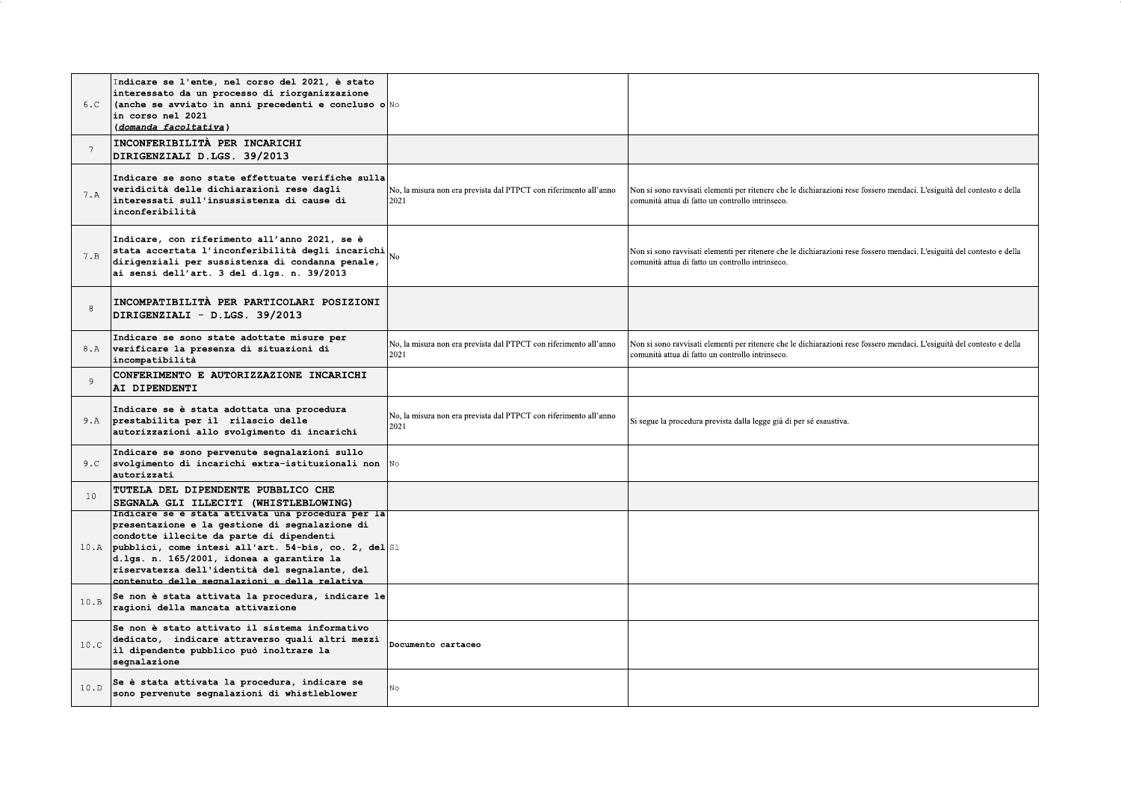| 6.C  | Indicare se l'ente, nel corso del 2021, è stato<br>interessato da un processo di riorganizzazione<br>(anche se avviato in anni precedenti e concluso o $\mathbb{N}$ o<br>in corso nel 2021<br>(domanda facoltativa)                                                                                                                                          |                                                                           |                                                                                                                                                                            |
|------|--------------------------------------------------------------------------------------------------------------------------------------------------------------------------------------------------------------------------------------------------------------------------------------------------------------------------------------------------------------|---------------------------------------------------------------------------|----------------------------------------------------------------------------------------------------------------------------------------------------------------------------|
| 7    | INCONFERIBILITÀ PER INCARICHI<br>DIRIGENZIALI D.LGS. 39/2013                                                                                                                                                                                                                                                                                                 |                                                                           |                                                                                                                                                                            |
| 7.A  | Indicare se sono state effettuate verifiche sulla<br>veridicità delle dichiarazioni rese dagli<br>interessati sull'insussistenza di cause di<br>inconferibilità                                                                                                                                                                                              | No, la misura non era prevista dal PTPCT con riferimento all'anno<br>2021 | Non si sono ravvisati elementi per ritenere che le dichiarazioni rese fossero mendaci. L'esiguità del contesto e della<br>comunità attua di fatto un controllo intrinseco. |
| 7.B  | Indicare, con riferimento all'anno 2021, se è<br>stata accertata l'inconferibilità degli incarichi<br>dirigenziali per sussistenza di condanna penale,<br>ai sensi dell'art. 3 del d.lgs. n. 39/2013                                                                                                                                                         |                                                                           | Non si sono ravvisati elementi per ritenere che le dichiarazioni rese fossero mendaci. L'esiguità del contesto e della<br>comunità attua di fatto un controllo intrinseco. |
| 8    | INCOMPATIBILITÀ PER PARTICOLARI POSIZIONI<br>DIRIGENZIALI - D.LGS. 39/2013                                                                                                                                                                                                                                                                                   |                                                                           |                                                                                                                                                                            |
| 8.A  | Indicare se sono state adottate misure per<br>verificare la presenza di situazioni di<br>incompatibilità                                                                                                                                                                                                                                                     | No, la misura non era prevista dal PTPCT con riferimento all'anno<br>2021 | Non si sono ravvisati elementi per ritenere che le dichiarazioni rese fossero mendaci. L'esiguità del contesto e della<br>comunità attua di fatto un controllo intrinseco. |
| Q    | CONFERIMENTO E AUTORIZZAZIONE INCARICHI<br>AI DIPENDENTI                                                                                                                                                                                                                                                                                                     |                                                                           |                                                                                                                                                                            |
|      | Indicare se è stata adottata una procedura<br>9.A prestabilita per il rilascio delle<br>autorizzazioni allo svolgimento di incarichi                                                                                                                                                                                                                         | No, la misura non era prevista dal PTPCT con riferimento all'anno<br>2021 | Si segue la procedura prevista dalla legge già di per sé esaustiva.                                                                                                        |
| 9.C. | Indicare se sono pervenute segnalazioni sullo<br>svolgimento di incarichi extra-istituzionali non $\mathbb N$ o<br>autorizzati                                                                                                                                                                                                                               |                                                                           |                                                                                                                                                                            |
| 10   | TUTELA DEL DIPENDENTE PUBBLICO CHE<br>SEGNALA GLI ILLECITI (WHISTLEBLOWING)                                                                                                                                                                                                                                                                                  |                                                                           |                                                                                                                                                                            |
|      | Indicare se e stata attivata una procedura per Ia<br>presentazione e la gestione di segnalazione di<br>condotte illecite da parte di dipendenti<br>10.A pubblici, come intesi all'art. 54-bis, co. 2, del Si<br>d.lgs. n. 165/2001, idonea a garantire la<br>riservatezza dell'identità del segnalante, del<br>contenuto delle segnalazioni e della relativa |                                                                           |                                                                                                                                                                            |
| 10.B | Se non è stata attivata la procedura, indicare le<br>ragioni della mancata attivazione                                                                                                                                                                                                                                                                       |                                                                           |                                                                                                                                                                            |
| 10.C | Se non è stato attivato il sistema informativo<br>dedicato, indicare attraverso quali altri mezzi<br>il dipendente pubblico può inoltrare la<br>segnalazione                                                                                                                                                                                                 | Documento cartaceo                                                        |                                                                                                                                                                            |
| 10.D | Se è stata attivata la procedura, indicare se<br>sono pervenute segnalazioni di whistleblower                                                                                                                                                                                                                                                                | Nο                                                                        |                                                                                                                                                                            |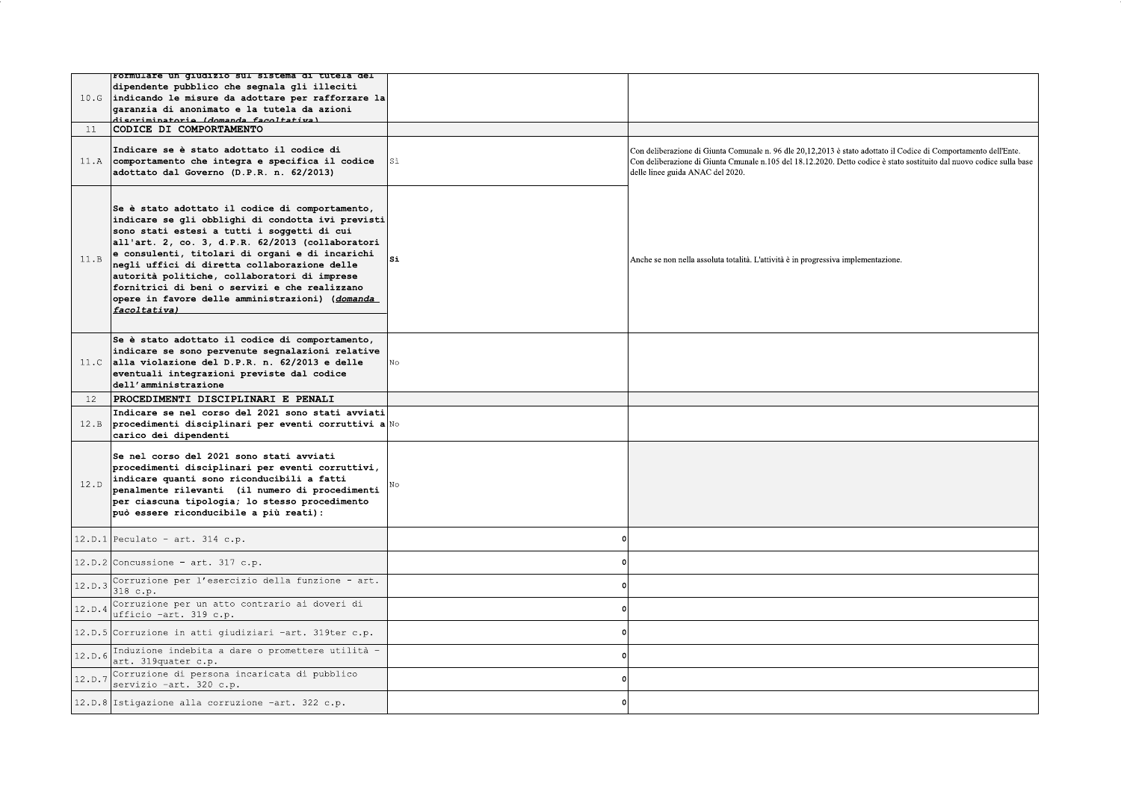|        | rormulare un giudizio sui sistema di tutela del                                                                                                                                                                                                                                                                                                                                                                                                                                |     |                                                                                                                                                                                                                                                                               |
|--------|--------------------------------------------------------------------------------------------------------------------------------------------------------------------------------------------------------------------------------------------------------------------------------------------------------------------------------------------------------------------------------------------------------------------------------------------------------------------------------|-----|-------------------------------------------------------------------------------------------------------------------------------------------------------------------------------------------------------------------------------------------------------------------------------|
|        | dipendente pubblico che segnala gli illeciti<br>10.6 indicando le misure da adottare per rafforzare la<br>garanzia di anonimato e la tutela da azioni<br>diecriminatorie (domanda facoltativa)                                                                                                                                                                                                                                                                                 |     |                                                                                                                                                                                                                                                                               |
| 11     | CODICE DI COMPORTAMENTO                                                                                                                                                                                                                                                                                                                                                                                                                                                        |     |                                                                                                                                                                                                                                                                               |
|        | Indicare se è stato adottato il codice di<br>11.A comportamento che integra e specifica il codice<br>adottato dal Governo (D.P.R. n. 62/2013)                                                                                                                                                                                                                                                                                                                                  | Sì  | Con deliberazione di Giunta Comunale n. 96 dle 20,12,2013 è stato adottato il Codice di Comportamento dell'Ente.<br>Con deliberazione di Giunta Cmunale n.105 del 18.12.2020. Detto codice è stato sostituito dal nuovo codice sulla base<br>delle linee guida ANAC del 2020. |
| 11.B   | Se è stato adottato il codice di comportamento,<br>indicare se qli obblighi di condotta ivi previsti<br>sono stati estesi a tutti i soggetti di cui<br>all'art. 2, co. 3, d.P.R. 62/2013 (collaboratori<br>e consulenti, titolari di organi e di incarichi<br>negli uffici di diretta collaborazione delle<br>autorità politiche, collaboratori di imprese<br>fornitrici di beni o servizi e che realizzano<br>opere in favore delle amministrazioni) (domanda<br>facoltativa) | lsi | Anche se non nella assoluta totalità. L'attività è in progressiva implementazione.                                                                                                                                                                                            |
|        | Se è stato adottato il codice di comportamento,<br>indicare se sono pervenute segnalazioni relative<br>11.C alla violazione del D.P.R. n. 62/2013 e delle<br>eventuali integrazioni previste dal codice<br>dell'amministrazione                                                                                                                                                                                                                                                | No  |                                                                                                                                                                                                                                                                               |
|        |                                                                                                                                                                                                                                                                                                                                                                                                                                                                                |     |                                                                                                                                                                                                                                                                               |
| 12     | PROCEDIMENTI DISCIPLINARI E PENALI                                                                                                                                                                                                                                                                                                                                                                                                                                             |     |                                                                                                                                                                                                                                                                               |
|        | Indicare se nel corso del 2021 sono stati avviati<br>12.B procedimenti disciplinari per eventi corruttivi a No<br>carico dei dipendenti                                                                                                                                                                                                                                                                                                                                        |     |                                                                                                                                                                                                                                                                               |
| 12.D   | Se nel corso del 2021 sono stati avviati<br>procedimenti disciplinari per eventi corruttivi,<br>indicare quanti sono riconducibili a fatti<br>penalmente rilevanti (il numero di procedimenti<br>per ciascuna tipologia; lo stesso procedimento<br>può essere riconducibile a più reati):                                                                                                                                                                                      |     |                                                                                                                                                                                                                                                                               |
|        | $12.D.1$ Peculato - art. 314 c.p.                                                                                                                                                                                                                                                                                                                                                                                                                                              |     |                                                                                                                                                                                                                                                                               |
|        | $12.D.2$ Concussione - art. 317 c.p.                                                                                                                                                                                                                                                                                                                                                                                                                                           |     |                                                                                                                                                                                                                                                                               |
| 12.D.3 | Corruzione per l'esercizio della funzione - art.<br>318 c.p.                                                                                                                                                                                                                                                                                                                                                                                                                   |     |                                                                                                                                                                                                                                                                               |
| 12.D.4 | Corruzione per un atto contrario ai doveri di<br>ufficio -art. 319 c.p.                                                                                                                                                                                                                                                                                                                                                                                                        |     |                                                                                                                                                                                                                                                                               |
|        | 12.D.5 Corruzione in atti giudiziari -art. 319ter c.p.                                                                                                                                                                                                                                                                                                                                                                                                                         |     |                                                                                                                                                                                                                                                                               |
| 12.D.6 | Induzione indebita a dare o promettere utilità -<br>art. 319quater c.p.                                                                                                                                                                                                                                                                                                                                                                                                        |     |                                                                                                                                                                                                                                                                               |
| 12.D.7 | Corruzione di persona incaricata di pubblico<br>servizio -art. 320 c.p.                                                                                                                                                                                                                                                                                                                                                                                                        |     |                                                                                                                                                                                                                                                                               |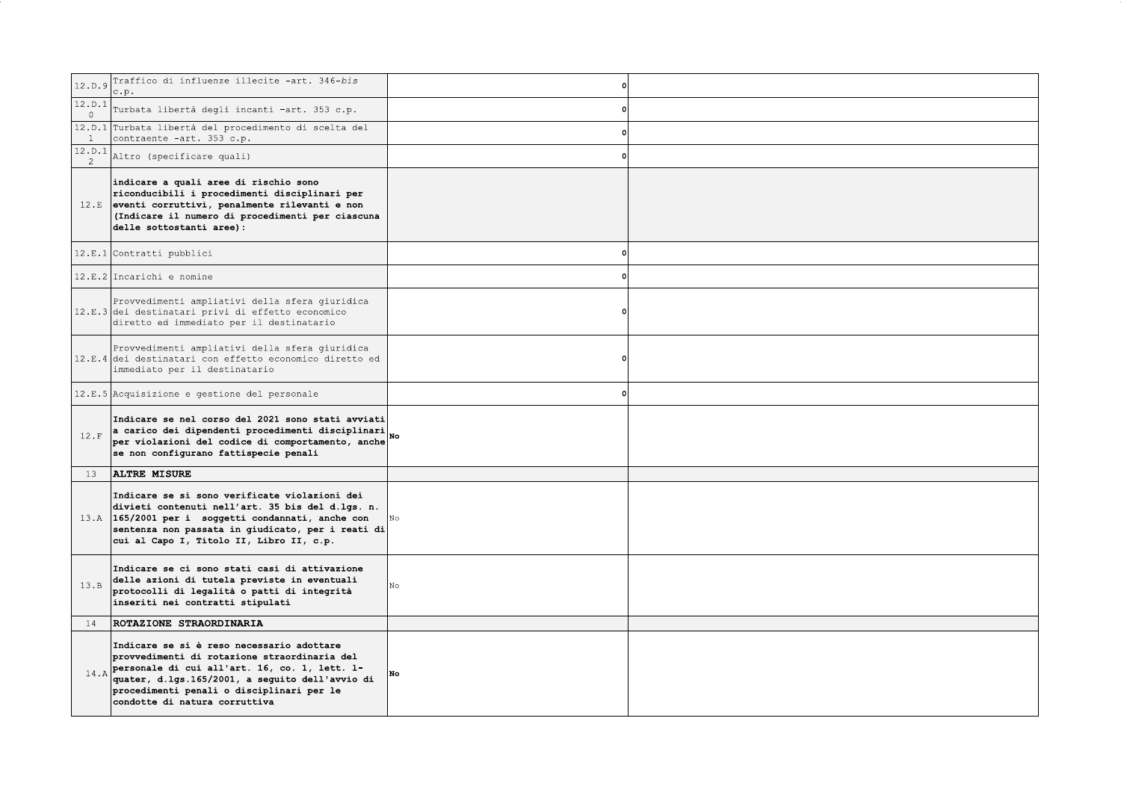| 12.D.9                   | Traffico di influenze illecite -art. 346-bis<br>c.p.                                                                                                                                                                                                                               | $\Omega$ |  |
|--------------------------|------------------------------------------------------------------------------------------------------------------------------------------------------------------------------------------------------------------------------------------------------------------------------------|----------|--|
| 12.D.1<br>$\overline{0}$ | Turbata libertà degli incanti -art. 353 c.p.                                                                                                                                                                                                                                       |          |  |
| $\mathbf{1}$             | 12.D.1 Turbata libertà del procedimento di scelta del<br>contraente -art. 353 c.p.                                                                                                                                                                                                 |          |  |
| 12.D.1<br>$\overline{2}$ | Altro (specificare quali)                                                                                                                                                                                                                                                          |          |  |
|                          | indicare a quali aree di rischio sono<br>riconducibili i procedimenti disciplinari per<br>12.E eventi corruttivi, penalmente rilevanti e non<br>(Indicare il numero di procedimenti per ciascuna<br>delle sottostanti aree):                                                       |          |  |
|                          | 12.E.1 Contratti pubblici                                                                                                                                                                                                                                                          |          |  |
|                          | $12.E.2$ Incarichi e nomine                                                                                                                                                                                                                                                        |          |  |
|                          | Provvedimenti ampliativi della sfera giuridica<br>12.E.3 dei destinatari privi di effetto economico<br>diretto ed immediato per il destinatario                                                                                                                                    |          |  |
|                          | Provvedimenti ampliativi della sfera giuridica<br>12.E.4 dei destinatari con effetto economico diretto ed<br>immediato per il destinatario                                                                                                                                         |          |  |
|                          | 12.E.5 Acquisizione e gestione del personale                                                                                                                                                                                                                                       |          |  |
| 12.F                     | Indicare se nel corso del 2021 sono stati avviati<br>a carico dei dipendenti procedimenti disciplinari<br>per violazioni del codice di comportamento, anche<br>se non configurano fattispecie penali                                                                               |          |  |
| 13                       | <b>ALTRE MISURE</b>                                                                                                                                                                                                                                                                |          |  |
|                          | Indicare se si sono verificate violazioni dei<br>divieti contenuti nell'art. 35 bis del d.lgs. n.<br>13.A 165/2001 per i soggetti condannati, anche con<br>sentenza non passata in giudicato, per i reati di<br>cui al Capo I, Titolo II, Libro II, c.p.                           |          |  |
| 13.B                     | Indicare se ci sono stati casi di attivazione<br>delle azioni di tutela previste in eventuali<br>protocolli di legalità o patti di integrità<br>inseriti nei contratti stipulati                                                                                                   | No       |  |
| 14                       | ROTAZIONE STRAORDINARIA                                                                                                                                                                                                                                                            |          |  |
|                          | Indicare se si è reso necessario adottare<br>provvedimenti di rotazione straordinaria del<br>$14.A$ personale di cui all'art. 16, co. 1, lett. 1-<br>quater, d.lgs.165/2001, a seguito dell'avvio di<br>procedimenti penali o disciplinari per le<br>condotte di natura corruttiva | No       |  |